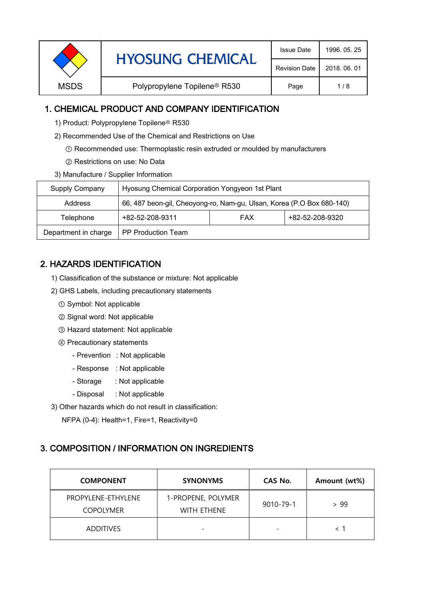|                                                         | <b>Issue Date</b>    | 1996, 05, 25 |
|---------------------------------------------------------|----------------------|--------------|
| <b>HYOSUNG CHEMICAL</b>                                 | <b>Revision Date</b> | 2018, 06, 01 |
| Polypropylene Topilene <sup>®</sup> R530<br><b>MSDS</b> | Page                 | 1/8          |

### 1. CHEMICAL PRODUCT AND COMPANY IDENTIFICATION

- 1) Product: Polypropylene Topilene<sup>®</sup> R530
- 2) Recommended Use of the Chemical and Restrictions on Use
	- ① Recommended use: Thermoplastic resin extruded or moulded by manufacturers
	- ② Restrictions on use: No Data
- 3) Manufacture / Supplier Information

| Supply Company       | Hyosung Chemical Corporation Yongyeon 1st Plant                       |  |  |  |
|----------------------|-----------------------------------------------------------------------|--|--|--|
| Address              | 66, 487 beon-gil, Cheoyong-ro, Nam-gu, Ulsan, Korea (P.O Box 680-140) |  |  |  |
| Telephone            | +82-52-208-9320<br>+82-52-208-9311<br><b>FAX</b>                      |  |  |  |
| Department in charge | <b>PP Production Team</b>                                             |  |  |  |

# 2. HAZARDS IDENTIFICATION

- 1) Classification of the substance or mixture: Not applicable
- 2) GHS Labels, including precautionary statements
	- ① Symbol: Not applicable
	- ② Signal word: Not applicable
	- ③ Hazard statement: Not applicable
	- ④ Precautionary statements
		- Prevention : Not applicable
		- Response : Not applicable
		- Storage : Not applicable
		- Disposal : Not applicable
- 3) Other hazards which do not result in classification:

NFPA (0-4): Health=1, Fire=1, Reactivity=0

# 3. COMPOSITION / INFORMATION ON INGREDIENTS

| <b>COMPONENT</b>                       | <b>SYNONYMS</b>                          | CAS No.                  | Amount (wt%) |
|----------------------------------------|------------------------------------------|--------------------------|--------------|
| PROPYLENE-ETHYLENE<br><b>COPOLYMER</b> | 1-PROPENE, POLYMER<br><b>WITH ETHENE</b> | 9010-79-1                | > 99         |
| <b>ADDITIVES</b>                       | -                                        | $\overline{\phantom{a}}$ |              |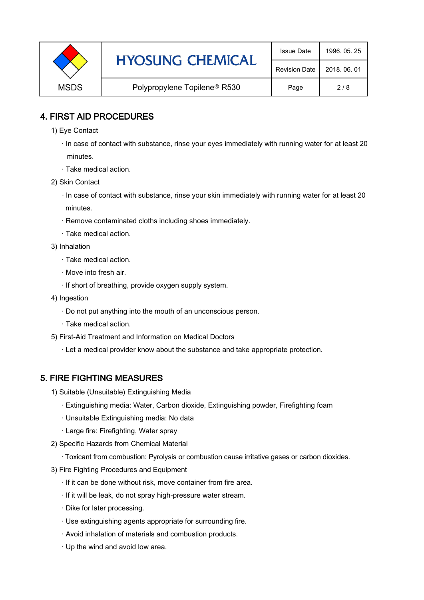|             | <b>HYOSUNG CHEMICAL</b>                  | <b>Issue Date</b>    | 1996, 05, 25 |
|-------------|------------------------------------------|----------------------|--------------|
|             |                                          | <b>Revision Date</b> | 2018, 06, 01 |
| <b>MSDS</b> | Polypropylene Topilene <sup>®</sup> R530 | Page                 | 2/8          |

### 4. FIRST AID PROCEDURES

1) Eye Contact

 · In case of contact with substance, rinse your eyes immediately with running water for at least 20 minutes.

- · Take medical action.
- 2) Skin Contact
	- · In case of contact with substance, rinse your skin immediately with running water for at least 20 minutes.
	- · Remove contaminated cloths including shoes immediately.
	- · Take medical action.
- 3) Inhalation
	- · Take medical action.
	- · Move into fresh air.
	- · If short of breathing, provide oxygen supply system.
- 4) Ingestion
	- · Do not put anything into the mouth of an unconscious person.
	- · Take medical action.
- 5) First-Aid Treatment and Information on Medical Doctors
	- · Let a medical provider know about the substance and take appropriate protection.

#### 5. FIRE FIGHTING MEASURES

- 1) Suitable (Unsuitable) Extinguishing Media
	- · Extinguishing media: Water, Carbon dioxide, Extinguishing powder, Firefighting foam
	- · Unsuitable Extinguishing media: No data
	- · Large fire: Firefighting, Water spray
- 2) Specific Hazards from Chemical Material
	- · Toxicant from combustion: Pyrolysis or combustion cause irritative gases or carbon dioxides.
- 3) Fire Fighting Procedures and Equipment
	- · If it can be done without risk, move container from fire area.
	- · If it will be leak, do not spray high-pressure water stream.
	- · Dike for later processing.
	- · Use extinguishing agents appropriate for surrounding fire.
	- · Avoid inhalation of materials and combustion products.
	- · Up the wind and avoid low area.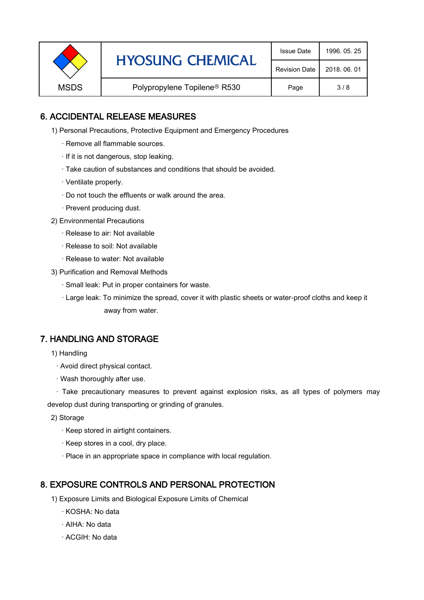|             | <b>HYOSUNG CHEMICAL</b>                  | <b>Issue Date</b>    | 1996, 05, 25 |
|-------------|------------------------------------------|----------------------|--------------|
|             |                                          | <b>Revision Date</b> | 2018, 06, 01 |
| <b>MSDS</b> | Polypropylene Topilene <sup>®</sup> R530 | Page                 | 3/8          |

### 6. ACCIDENTAL RELEASE MEASURES

- 1) Personal Precautions, Protective Equipment and Emergency Procedures
	- · Remove all flammable sources.
	- · If it is not dangerous, stop leaking.
	- · Take caution of substances and conditions that should be avoided.
	- · Ventilate properly.
	- · Do not touch the effluents or walk around the area.
	- · Prevent producing dust.
- 2) Environmental Precautions
	- · Release to air: Not available
	- · Release to soil: Not available
	- · Release to water: Not available
- 3) Purification and Removal Methods
	- · Small leak: Put in proper containers for waste.
	- ,· Large leak: To minimize the spread, cover it with plastic sheets or water-proof cloths and keep it away from water.

#### 7. HANDLING AND STORAGE

- 1) Handling
	- · Avoid direct physical contact.
	- · Wash thoroughly after use.

· Take precautionary measures to prevent against explosion risks, as all types of polymers may develop dust during transporting or grinding of granules.

- 2) Storage
	- · Keep stored in airtight containers.
	- · Keep stores in a cool, dry place.
	- · Place in an appropriate space in compliance with local regulation.

#### 8. EXPOSURE CONTROLS AND PERSONAL PROTECTION

- 1) Exposure Limits and Biological Exposure Limits of Chemical
	- · KOSHA: No data
	- · AIHA: No data
	- · ACGIH: No data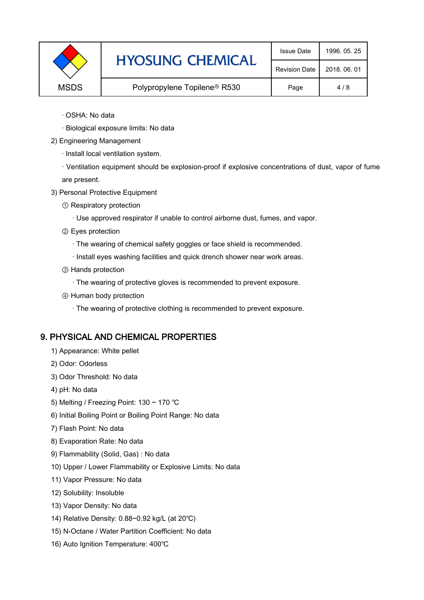|             | <b>HYOSUNG CHEMICAL</b>                  | <b>Issue Date</b>    | 1996, 05, 25 |
|-------------|------------------------------------------|----------------------|--------------|
|             |                                          | <b>Revision Date</b> | 2018, 06, 01 |
| <b>MSDS</b> | Polypropylene Topilene <sup>®</sup> R530 | Page                 | 4/8          |

- · OSHA: No data
- · Biological exposure limits: No data
- 2) Engineering Management
	- · Install local ventilation system.

· Ventilation equipment should be explosion-proof if explosive concentrations of dust, vapor of fume are present.

- 3) Personal Protective Equipment
	- ① Respiratory protection
		- · Use approved respirator if unable to control airborne dust, fumes, and vapor.
	- ② Eyes protection
		- · The wearing of chemical safety goggles or face shield is recommended.
		- · Install eyes washing facilities and quick drench shower near work areas.
	- ③ Hands protection
		- · The wearing of protective gloves is recommended to prevent exposure.
	- ④ Human body protection
		- · The wearing of protective clothing is recommended to prevent exposure.

# 9. PHYSICAL AND CHEMICAL PROPERTIES

- 1) Appearance: White pellet
- 2) Odor: Odorless
- 3) Odor Threshold: No data
- 4) pH: No data
- 5) Melting / Freezing Point: 130 ~ 170 ℃
- 6) Initial Boiling Point or Boiling Point Range: No data
- 7) Flash Point: No data
- 8) Evaporation Rate: No data
- 9) Flammability (Solid, Gas) : No data
- 10) Upper / Lower Flammability or Explosive Limits: No data
- 11) Vapor Pressure: No data
- 12) Solubility: Insoluble
- 13) Vapor Density: No data
- 14) Relative Density: 0.88~0.92 kg/L (at 20℃)
- 15) N-Octane / Water Partition Coefficient: No data
- 16) Auto Ignition Temperature: 400℃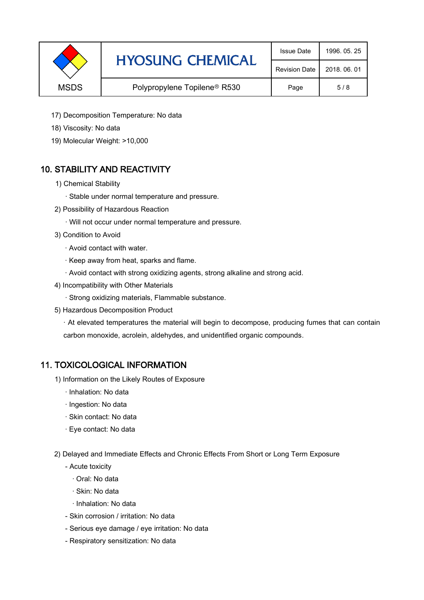|                                                         | <b>HYOSUNG CHEMICAL</b> | <b>Issue Date</b>    | 1996, 05, 25 |
|---------------------------------------------------------|-------------------------|----------------------|--------------|
|                                                         |                         | <b>Revision Date</b> | 2018, 06, 01 |
| <b>MSDS</b><br>Polypropylene Topilene <sup>®</sup> R530 |                         | Page                 | 5/8          |

- 17) Decomposition Temperature: No data
- 18) Viscosity: No data
- 19) Molecular Weight: >10,000

# 10. STABILITY AND REACTIVITY

- 1) Chemical Stability
	- · Stable under normal temperature and pressure.
- 2) Possibility of Hazardous Reaction
	- · Will not occur under normal temperature and pressure.
- 3) Condition to Avoid
	- · Avoid contact with water.
	- · Keep away from heat, sparks and flame.
	- · Avoid contact with strong oxidizing agents, strong alkaline and strong acid.
- 4) Incompatibility with Other Materials
	- · Strong oxidizing materials, Flammable substance.
- 5) Hazardous Decomposition Product

· At elevated temperatures the material will begin to decompose, producing fumes that can contain carbon monoxide, acrolein, aldehydes, and unidentified organic compounds.

#### 11. TOXICOLOGICAL INFORMATION

- 1) Information on the Likely Routes of Exposure
	- · Inhalation: No data
	- · Ingestion: No data
	- · Skin contact: No data
	- · Eye contact: No data
- 2) Delayed and Immediate Effects and Chronic Effects From Short or Long Term Exposure
	- Acute toxicity
		- · Oral: No data
		- · Skin: No data
		- · Inhalation: No data
	- Skin corrosion / irritation: No data
	- Serious eye damage / eye irritation: No data
	- Respiratory sensitization: No data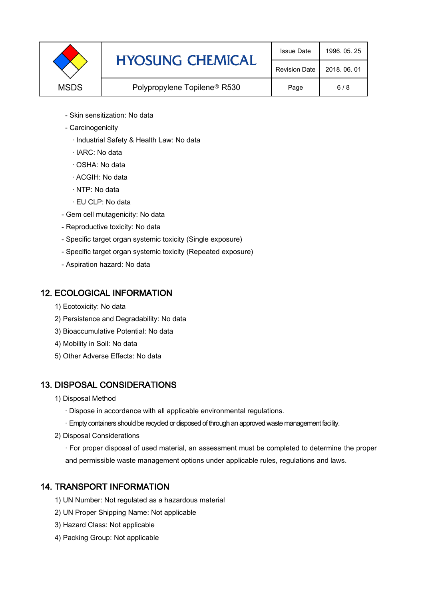|             | <b>HYOSUNG CHEMICAL</b>                  | <b>Issue Date</b>    | 1996, 05, 25 |
|-------------|------------------------------------------|----------------------|--------------|
|             |                                          | <b>Revision Date</b> | 2018, 06, 01 |
| <b>MSDS</b> | Polypropylene Topilene <sup>®</sup> R530 | Page                 | 6/8          |

- Skin sensitization: No data
- Carcinogenicity
	- · Industrial Safety & Health Law: No data
	- · IARC: No data
	- · OSHA: No data
	- · ACGIH: No data
	- · NTP: No data
	- · EU CLP: No data
- Gem cell mutagenicity: No data
- Reproductive toxicity: No data
- Specific target organ systemic toxicity (Single exposure)
- Specific target organ systemic toxicity (Repeated exposure)
- Aspiration hazard: No data

#### 12. ECOLOGICAL INFORMATION

- 1) Ecotoxicity: No data
- 2) Persistence and Degradability: No data
- 3) Bioaccumulative Potential: No data
- 4) Mobility in Soil: No data
- 5) Other Adverse Effects: No data

# 13. DISPOSAL CONSIDERATIONS

- 1) Disposal Method
	- · Dispose in accordance with all applicable environmental regulations.
	- · Empty containers should be recycled or disposed of through an approved waste management facility.
- 2) Disposal Considerations
	- · For proper disposal of used material, an assessment must be completed to determine the proper and permissible waste management options under applicable rules, regulations and laws.

# 14. TRANSPORT INFORMATION

- 1) UN Number: Not regulated as a hazardous material
- 2) UN Proper Shipping Name: Not applicable
- 3) Hazard Class: Not applicable
- 4) Packing Group: Not applicable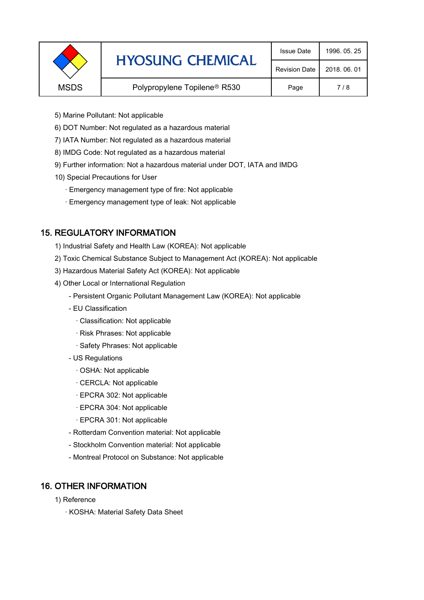|             | <b>HYOSUNG CHEMICAL</b>                  | <b>Issue Date</b>    | 1996, 05, 25 |
|-------------|------------------------------------------|----------------------|--------------|
|             |                                          | <b>Revision Date</b> | 2018, 06, 01 |
| <b>MSDS</b> | Polypropylene Topilene <sup>®</sup> R530 | Page                 | 7/8          |
|             |                                          |                      |              |

- 5) Marine Pollutant: Not applicable
- 6) DOT Number: Not regulated as a hazardous material
- 7) IATA Number: Not regulated as a hazardous material
- 8) IMDG Code: Not regulated as a hazardous material
- 9) Further information: Not a hazardous material under DOT, IATA and IMDG
- 10) Special Precautions for User
	- · Emergency management type of fire: Not applicable
	- · Emergency management type of leak: Not applicable

# 15. REGULATORY INFORMATION

- 1) Industrial Safety and Health Law (KOREA): Not applicable
- 2) Toxic Chemical Substance Subject to Management Act (KOREA): Not applicable
- 3) Hazardous Material Safety Act (KOREA): Not applicable
- 4) Other Local or International Regulation
	- Persistent Organic Pollutant Management Law (KOREA): Not applicable
	- EU Classification
		- · Classification: Not applicable
		- · Risk Phrases: Not applicable
		- · Safety Phrases: Not applicable
	- US Regulations
		- · OSHA: Not applicable
		- · CERCLA: Not applicable
		- · EPCRA 302: Not applicable
		- · EPCRA 304: Not applicable
		- · EPCRA 301: Not applicable
	- Rotterdam Convention material: Not applicable
	- Stockholm Convention material: Not applicable
	- Montreal Protocol on Substance: Not applicable

# 16. OTHER INFORMATION

- 1) Reference
	- · KOSHA: Material Safety Data Sheet